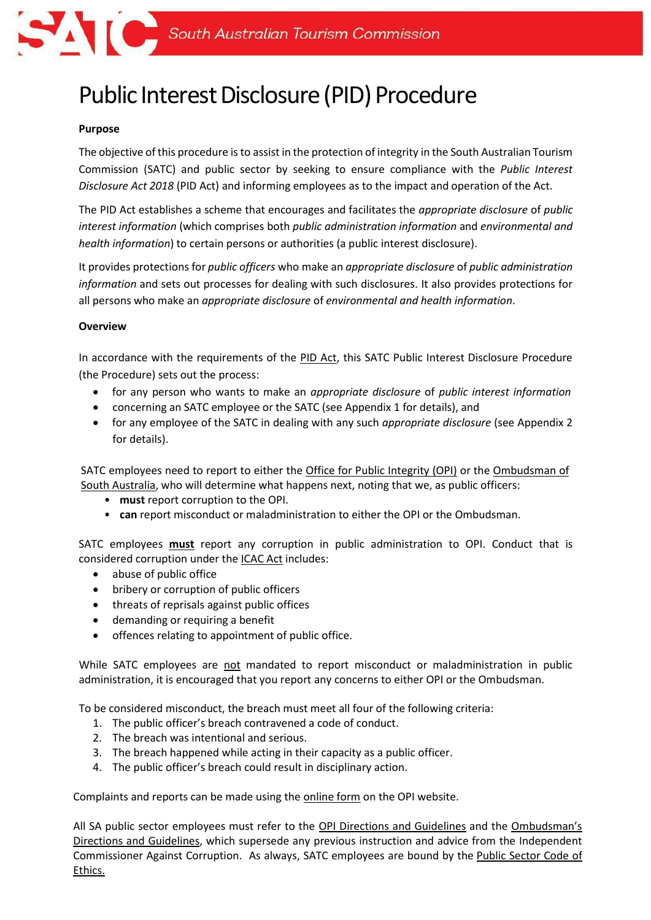

# Public Interest Disclosure (PID) Procedure

#### **Purpose**

The objective of this procedure isto assist in the protection of integrity in the South Australian Tourism Commission (SATC) and public sector by seeking to ensure compliance with the *Public Interest Disclosure Act 2018* (PID Act) and informing employees as to the impact and operation of the Act.

The PID Act establishes a scheme that encourages and facilitates the *appropriate disclosure* of *public interest information* (which comprises both *public administration information* and *environmental and health information*) to certain persons or authorities (a public interest disclosure).

It provides protections for *public officers* who make an *appropriate disclosure* of *public administration information* and sets out processes for dealing with such disclosures. It also provides protections for all persons who make an *appropriate disclosure* of *environmental and health information*.

#### **Overview**

In accordance with the requirements of the [PID Act, t](https://www.legislation.sa.gov.au/LZ/C/A/PUBLIC%20INTEREST%20DISCLOSURE%20ACT%202018.aspx)his SATC Public Interest Disclosure Procedure (the Procedure) sets out the process:

- for any person who wants to make an *appropriate disclosure* of *public interest information*
- concerning an SATC employee or the SATC (see Appendix 1 for details), and
- for any employee of the SATC in dealing with any such *appropriate disclosure* (see Appendix 2 for details).

SATC employees need to report to either the [Office for Public Integrity](https://publicintegrity.sa.gov.au/) (OPI) or the [Ombudsman](https://www.ombudsman.sa.gov.au/) of South Australia, who will determine what happens next, noting that we, as public officers:

- **must** report corruption to the OPI.
- **can** report misconduct or maladministration to either the OPI or the Ombudsman.

SATC employees **must** report any corruption in public administration to OPI. Conduct that is considered corruption under th[e ICAC Act](https://www.legislation.sa.gov.au/lz?path=%2FC%2FA%2FIndependent%20Commission%20Against%20Corruption%20Act%202012) includes:

- abuse of public office
- bribery or corruption of public officers
- threats of reprisals against public offices
- demanding or requiring a benefit
- offences relating to appointment of public office.

While SATC employees are not mandated to report misconduct or maladministration in public administration, it is encouraged that you report any concerns to either OPI or the Ombudsman.

To be considered misconduct, the breach must meet all four of the following criteria:

- 1. The public officer's breach contravened a code of conduct.
- 2. The breach was intentional and serious.
- 3. The breach happened while acting in their capacity as a public officer.
- 4. The public officer's breach could result in disciplinary action.

Complaints and reports can be made using th[e online form](https://www.publicintegrity.sa.gov.au/make-a-complaint-or-report) on the OPI website.

All SA public sector employees must refer to the [OPI Directions and Guidelines](https://www.publicintegrity.sa.gov.au/directions-and-guidelines) and the [Ombudsman's](https://www.ombudsman.sa.gov.au/publications/directions-and-guidelines)  [Directions and Guidelines,](https://www.ombudsman.sa.gov.au/publications/directions-and-guidelines) which supersede any previous instruction and advice from the Independent Commissioner Against Corruption. As always, SATC employees are bound by the [Public Sector Code of](https://www.publicsector.sa.gov.au/hr-and-policy-support/ethical-codes/code-of-ethics)  [Ethics.](https://www.publicsector.sa.gov.au/hr-and-policy-support/ethical-codes/code-of-ethics)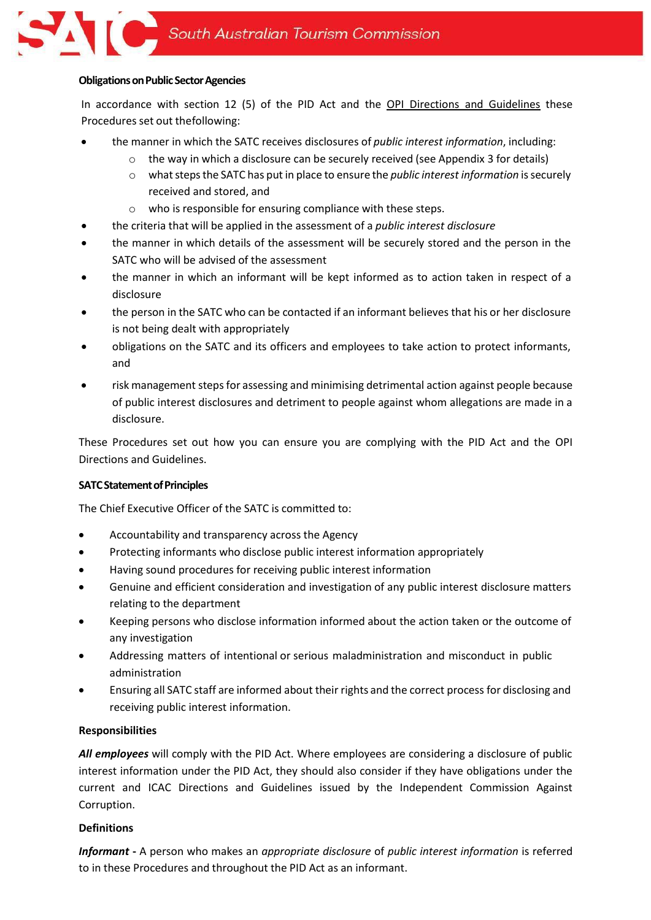## **Obligations on Public Sector Agencies**

In accordance with section 12 (5) of the PID Act and the [OPI Directions and Guidelines](https://www.publicintegrity.sa.gov.au/directions-and-guidelines) these Procedures set out thefollowing:

- the manner in which the SATC receives disclosures of *public interest information*, including:
	- $\circ$  the way in which a disclosure can be securely received (see Appendix 3 for details)
	- o whatstepsthe SATC has put in place to ensure the *public interest information* issecurely received and stored, and
	- o who is responsible for ensuring compliance with these steps.
- the criteria that will be applied in the assessment of a *public interest disclosure*
- the manner in which details of the assessment will be securely stored and the person in the SATC who will be advised of the assessment
- the manner in which an informant will be kept informed as to action taken in respect of a disclosure
- the person in the SATC who can be contacted if an informant believes that his or her disclosure is not being dealt with appropriately
- obligations on the SATC and its officers and employees to take action to protect informants, and
- risk management stepsfor assessing and minimising detrimental action against people because of public interest disclosures and detriment to people against whom allegations are made in a disclosure.

These Procedures set out how you can ensure you are complying with the PID Act and the OPI Directions and Guidelines.

# **SATC Statement of Principles**

The Chief Executive Officer of the SATC is committed to:

- Accountability and transparency across the Agency
- Protecting informants who disclose public interest information appropriately
- Having sound procedures for receiving public interest information
- Genuine and efficient consideration and investigation of any public interest disclosure matters relating to the department
- Keeping persons who disclose information informed about the action taken or the outcome of any investigation
- Addressing matters of intentional or serious maladministration and misconduct in public administration
- Ensuring all SATC staff are informed about their rights and the correct process for disclosing and receiving public interest information.

#### **Responsibilities**

*All employees* will comply with the PID Act. Where employees are considering a disclosure of public interest information under the PID Act, they should also consider if they have obligations under the current and ICAC Directions and Guidelines issued by the Independent Commission Against Corruption.

# **Definitions**

*Informant* **-** A person who makes an *appropriate disclosure* of *public interest information* is referred to in these Procedures and throughout the PID Act as an informant.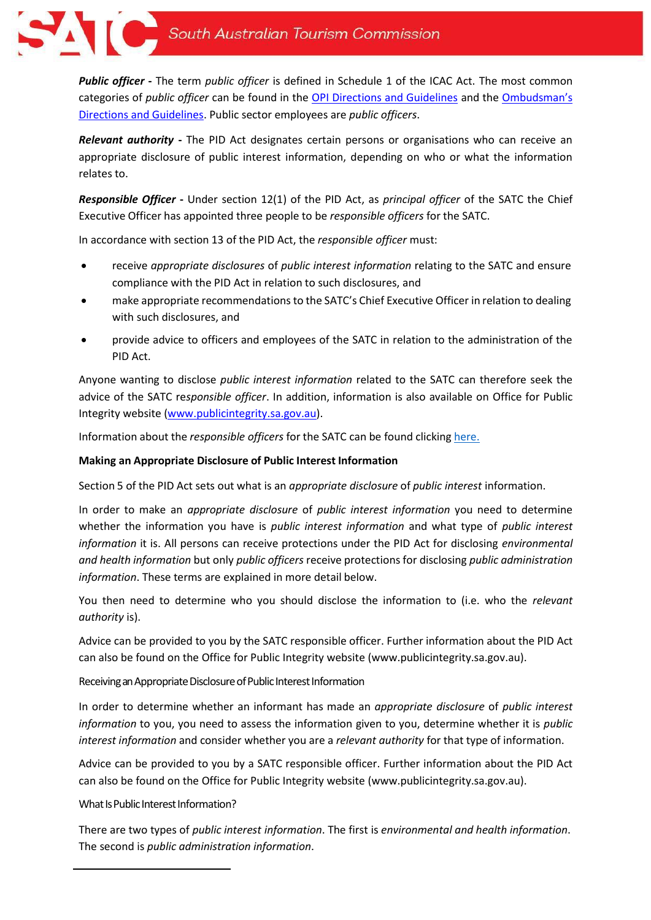

*Public officer* **-** The term *public officer* is defined in Schedule 1 of the ICAC Act. The most common categories of *public officer* can be found in the [OPI Directions and Guidelines](https://www.publicintegrity.sa.gov.au/directions-and-guidelines) and the [Ombudsman's](https://www.ombudsman.sa.gov.au/publications/directions-and-guidelines)  [Directions and Guidelines.](https://www.ombudsman.sa.gov.au/publications/directions-and-guidelines) Public sector employees are *public officers*.

*Relevant authority* **-** The PID Act designates certain persons or organisations who can receive an appropriate disclosure of public interest information, depending on who or what the information relates to.

*Responsible Officer* **-** Under section 12(1) of the PID Act, as *principal officer* of the SATC the Chief Executive Officer has appointed three people to be *responsible officers* for the SATC.

In accordance with section 13 of the PID Act, the *responsible officer* must:

- receive *appropriate disclosures* of *public interest information* relating to the SATC and ensure compliance with the PID Act in relation to such disclosures, and
- make appropriate recommendations to the SATC's Chief Executive Officer in relation to dealing with such disclosures, and
- provide advice to officers and employees of the SATC in relation to the administration of the PID Act.

Anyone wanting to disclose *public interest information* related to the SATC can therefore seek the advice of the SATC re*sponsible officer*. In addition, information is also available on Office for Public Integrity website [\(www.publicintegrity.sa.gov.au\)](www.publicintegrity.sa.gov.au).

Information about the *responsible officers* for the SATC can be found clicking [here.](http://grapevine.tourism.sa.com/mysatc/Pages/Public%20Interest%20Disclosure.aspx)

## **Making an Appropriate Disclosure of Public Interest Information**

Section 5 of the PID Act sets out what is an *appropriate disclosure* of *public interest* information.

In order to make an *appropriate disclosure* of *public interest information* you need to determine whether the information you have is *public interest information* and what type of *public interest information* it is. All persons can receive protections under the PID Act for disclosing *environmental and health information* but only *public officers* receive protections for disclosing *public administration information*. These terms are explained in more detail below.

You then need to determine who you should disclose the information to (i.e. who the *relevant authority* is).

Advice can be provided to you by the SATC [responsible](https://www.agd.sa.gov.au/Projects/PID) officer. Further information about the PID Act can also be found on the Office for Public Integrity website (www.publicintegrity.sa.gov.au).

Receiving an Appropriate Disclosure of Public Interest Information

In order to determine whether an informant has made an *appropriate disclosure* of *public interest information* to you, you need to assess the information given to you, determine whether it is *public interest information* and consider whether you are a *relevant authority* for that type of information.

Advice can be provided to you by a [SATC responsible officer.](https://www.agd.sa.gov.au/Projects/PID) Further information about the PID Act can also be found on the Office for Public Integrity website (www.publicintegrity.sa.gov.au).

What Is Public Interest Information?

There are two types of *public interest information*. The first is *environmental and health information*. The second is *public administration information*.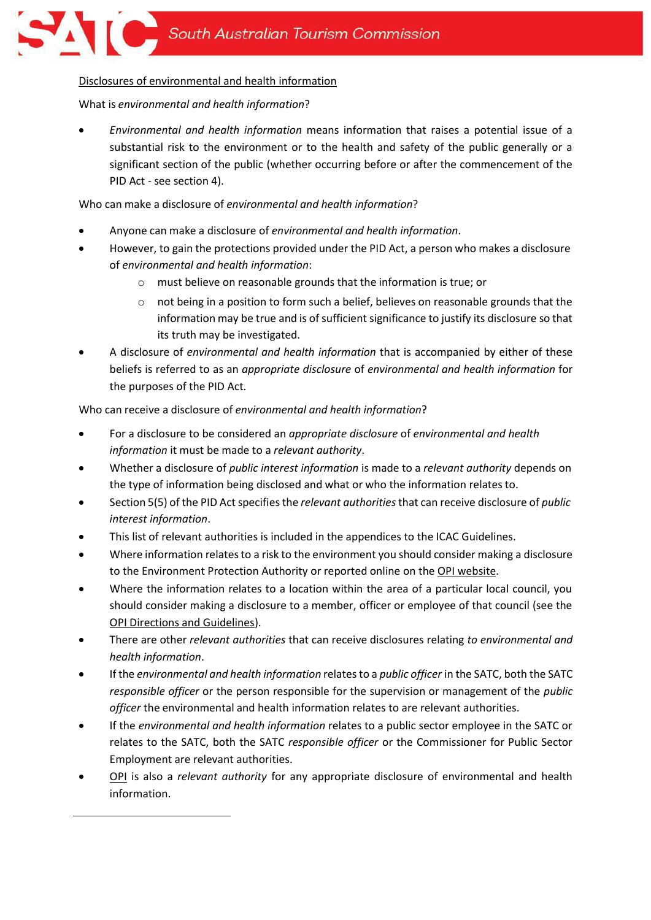# Disclosures of environmental and health information

What is *environmental and health information*?

• *Environmental and health information* means information that raises a potential issue of a substantial risk to the environment or to the health and safety of the public generally or a significant section of the public (whether occurring before or after the commencement of the PID Act - see section 4).

Who can make a disclosure of *environmental and health information*?

- Anyone can make a disclosure of *environmental and health information*.
- However, to gain the protections provided under the PID Act, a person who makes a disclosure of *environmental and health information*:
	- o must believe on reasonable grounds that the information is true; or
	- o not being in a position to form such a belief, believes on reasonable grounds that the information may be true and is of sufficient significance to justify its disclosure so that its truth may be investigated.
- A disclosure of *environmental and health information* that is accompanied by either of these beliefs is referred to as an *appropriate disclosure* of *environmental and health information* for the purposes of the PID Act.

Who can receive a disclosure of *environmental and health information*?

- For a disclosure to be considered an *appropriate disclosure* of *environmental and health information* it must be made to a *relevant authority*.
- Whether a disclosure of *public interest information* is made to a *relevant authority* depends on the type of information being disclosed and what or who the information relates to.
- Section 5(5) of the PID Actspecifiesthe *relevant authorities*that can receive disclosure of *public interest information*.
- This list of relevant authorities is included in the appendices to the ICAC Guidelines.
- Where information relates to a risk to the environment you should consider making a disclosure to the Environment Protection Authority or reported online on the [OPI website.](https://www.publicintegrity.sa.gov.au/public-interest-disclosure)
- Where the information relates to a location within the area of a particular local council, you should consider making a disclosure to a member, officer or employee of that council (see the [OPI Directions and Guidelines\)](https://www.publicintegrity.sa.gov.au/directions-and-guidelines).
- There are other *relevant authorities* that can receive disclosures relating *to environmental and health information*.
- If the *environmental and health information* relatesto a *public officer* in the SATC, both the SATC *responsible officer* or the person responsible for the supervision or management of the *public officer* the environmental and health information relates to are relevant authorities.
- If the *environmental and health information* relates to a public sector employee in the SATC or relates to the SATC, both the SATC *responsible officer* or the Commissioner for Public Sector Employment are relevant authorities.
- [OPI](https://icac.sa.gov.au/opi) is also a *relevant authority* for any appropriate disclosure of environmental and health information.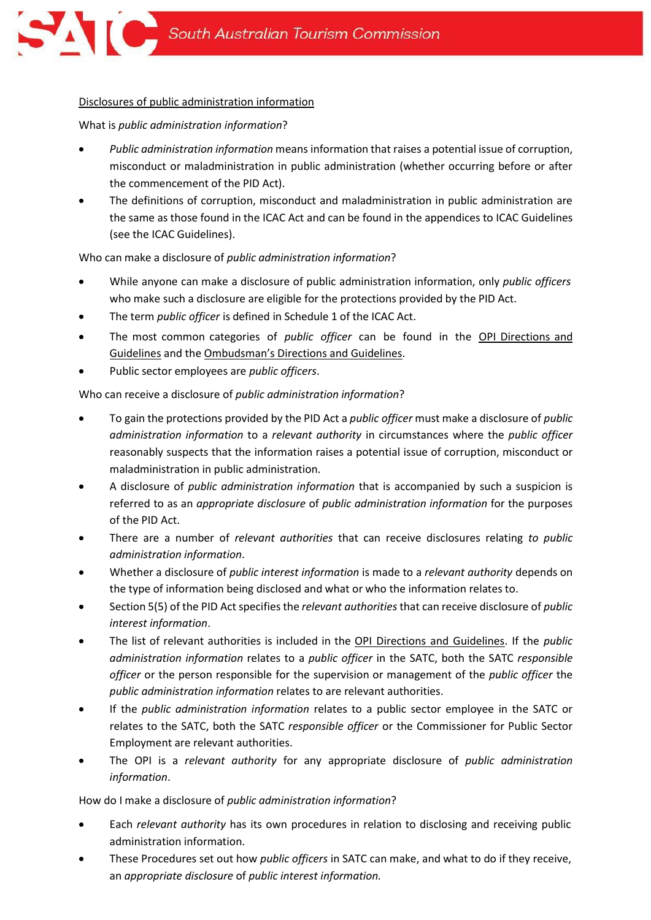### Disclosures of public administration information

What is *public administration information*?

- *Public administration information* means information that raises a potential issue of corruption, misconduct or maladministration in public administration (whether occurring before or after the commencement of the PID Act).
- The definitions of corruption, misconduct and maladministration in public administration are the same as those found in the ICAC Act and can be found in the appendices to ICAC Guidelines (see the ICAC Guidelines).

## Who can make a disclosure of *public administration information*?

- While anyone can make a disclosure of public administration information, only *public officers* who make such a disclosure are eligible for the protections provided by the PID Act.
- The term *public officer* is defined in Schedule 1 of the ICAC Act.
- The most common categories of *public officer* can be found in the [OPI Directions and](https://www.publicintegrity.sa.gov.au/directions-and-guidelines)  [Guidelines](https://www.publicintegrity.sa.gov.au/directions-and-guidelines) and the [Ombudsman's Directions and Guidelines](https://www.ombudsman.sa.gov.au/publications/directions-and-guidelines).
- Public sector employees are *public officers*.

# Who can receive a disclosure of *public administration information*?

- To gain the protections provided by the PID Act a *public officer* must make a disclosure of *public administration information* to a *relevant authority* in circumstances where the *public officer* reasonably suspects that the information raises a potential issue of corruption, misconduct or maladministration in public administration.
- A disclosure of *public administration information* that is accompanied by such a suspicion is referred to as an *appropriate disclosure* of *public administration information* for the purposes of the PID Act.
- There are a number of *relevant authorities* that can receive disclosures relating *to public administration information*.
- Whether a disclosure of *public interest information* is made to a *relevant authority* depends on the type of information being disclosed and what or who the information relates to.
- Section 5(5) of the PID Act specifies the *relevant authorities* that can receive disclosure of *public interest information*.
- The list of relevant authorities is included in the [OPI Directions and Guidelines.](https://www.publicintegrity.sa.gov.au/directions-and-guidelines) If the *public administration information* relates to a *public officer* in the SATC, both the SATC *responsible officer* or the person responsible for the supervision or management of the *public officer* the *public administration information* relates to are relevant authorities.
- If the *public administration information* relates to a public sector employee in the SATC or relates to the SATC, both the SATC *responsible officer* or the Commissioner for Public Sector Employment are relevant authorities.
- The OPI is a *relevant authority* for any appropriate disclosure of *public administration information*.

# How do I make a disclosure of *public administration information*?

- Each *relevant authority* has its own procedures in relation to disclosing and receiving public administration information.
- These Procedures set out how *public officers* in SATC can make, and what to do if they receive, an *appropriate disclosure* of *public interest information.*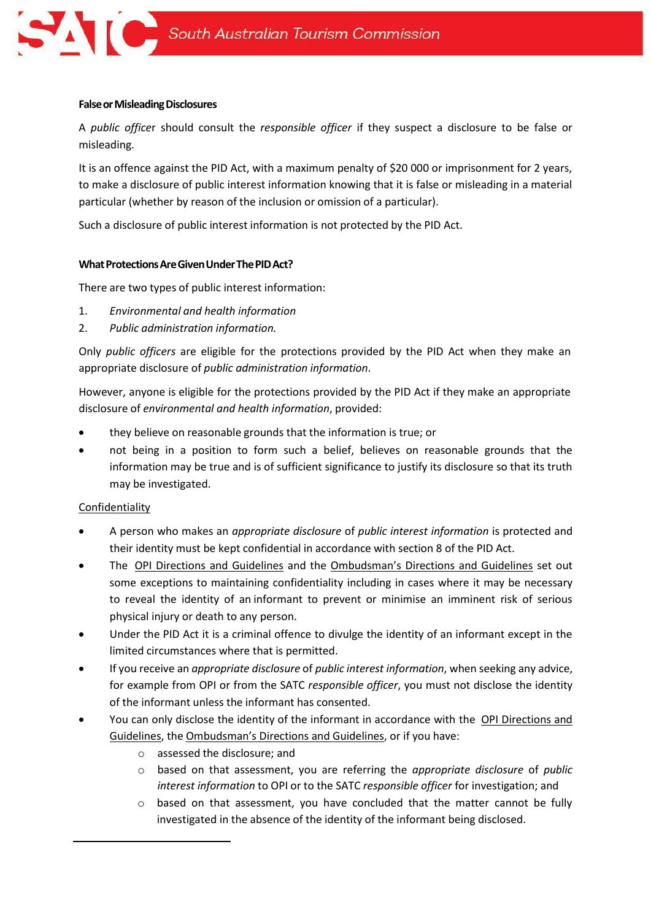#### **False or Misleading Disclosures**

A *public office*r should consult the *responsible officer* if they suspect a disclosure to be false or misleading.

It is an offence against the PID Act, with a maximum penalty of \$20 000 or imprisonment for 2 years, to make a disclosure of public interest information knowing that it is false or misleading in a material particular (whether by reason of the inclusion or omission of a particular).

Such a disclosure of public interest information is not protected by the PID Act.

#### **What Protections Are Given Under The PID Act?**

There are two types of public interest information:

- 1. *Environmental and health information*
- 2. *Public administration information.*

Only *public officers* are eligible for the protections provided by the PID Act when they make an appropriate disclosure of *public administration information*.

However, anyone is eligible for the protections provided by the PID Act if they make an appropriate disclosure of *environmental and health information*, provided:

- they believe on reasonable grounds that the information is true; or
- not being in a position to form such a belief, believes on reasonable grounds that the information may be true and is of sufficient significance to justify its disclosure so that its truth may be investigated.

#### **Confidentiality**

- A person who makes an *appropriate disclosure* of *public interest information* is protected and their identity must be kept confidential in accordance with section 8 of the PID Act.
- The [OPI Directions and Guidelines](https://www.publicintegrity.sa.gov.au/directions-and-guidelines) and the [Ombudsman's Directions and Guidelines](https://www.ombudsman.sa.gov.au/publications/directions-and-guidelines) set out some exceptions to maintaining confidentiality including in cases where it may be necessary to reveal the identity of an informant to prevent or minimise an imminent risk of serious physical injury or death to any person.
- Under the PID Act it is a criminal offence to divulge the identity of an informant except in the limited circumstances where that is permitted.
- If you receive an *appropriate disclosure* of *public interest information*, when seeking any advice, for example from OPI or from the SATC *responsible officer*, you must not disclose the identity of the informant unless the informant has consented.
- You can only disclose the identity of the informant in accordance with the [OPI Directions and](https://www.publicintegrity.sa.gov.au/directions-and-guidelines)  [Guidelines,](https://www.publicintegrity.sa.gov.au/directions-and-guidelines) the [Ombudsman's Directions and Guidelines](https://www.ombudsman.sa.gov.au/publications/directions-and-guidelines), or if you have:
	- o assessed the disclosure; and
	- o based on that assessment, you are referring the *appropriate disclosure* of *public interest information* to OPI or to the SATC *responsible officer* for investigation; and
	- o based on that assessment, you have concluded that the matter cannot be fully investigated in the absence of the identity of the informant being disclosed.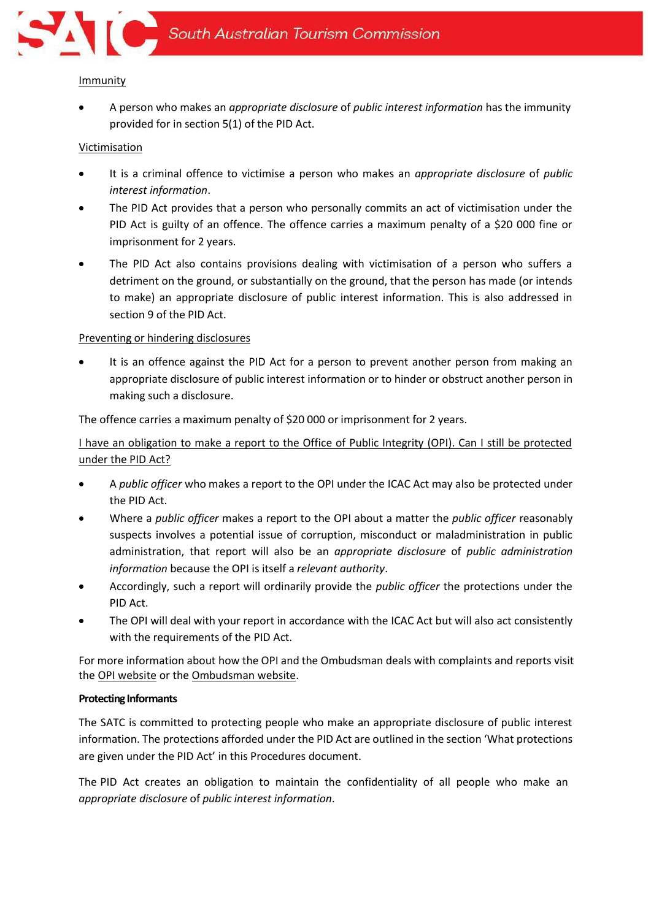

#### Immunity

• A person who makes an *appropriate disclosure* of *public interest information* has the immunity provided for in section 5(1) of the PID Act.

## **Victimisation**

- It is a criminal offence to victimise a person who makes an *appropriate disclosure* of *public interest information*.
- The PID Act provides that a person who personally commits an act of victimisation under the PID Act is guilty of an offence. The offence carries a maximum penalty of a \$20 000 fine or imprisonment for 2 years.
- The PID Act also contains provisions dealing with victimisation of a person who suffers a detriment on the ground, or substantially on the ground, that the person has made (or intends to make) an appropriate disclosure of public interest information. This is also addressed in section 9 of the PID Act.

# Preventing or hindering disclosures

It is an offence against the PID Act for a person to prevent another person from making an appropriate disclosure of public interest information or to hinder or obstruct another person in making such a disclosure.

The offence carries a maximum penalty of \$20 000 or imprisonment for 2 years.

I have an obligation to make a report to the Office of Public Integrity (OPI). Can I still be protected under the PID Act?

- A *public officer* who makes a report to the OPI under the ICAC Act may also be protected under the PID Act.
- Where a *public officer* makes a report to the OPI about a matter the *public officer* reasonably suspects involves a potential issue of corruption, misconduct or maladministration in public administration, that report will also be an *appropriate disclosure* of *public administration information* because the OPI is itself a *relevant authority*.
- Accordingly, such a report will ordinarily provide the *public officer* the protections under the PID Act.
- The OPI will deal with your report in accordance with the ICAC Act but will also act consistently with the requirements of the PID Act.

For more information about how the OPI and the Ombudsman deals with complaints and reports visit the [OPI website](https://www.publicintegrity.sa.gov.au/) or th[e Ombudsman website.](https://www.ombudsman.sa.gov.au/publications/directions-and-guidelines)

#### **Protecting Informants**

The SATC is committed to protecting people who make an appropriate disclosure of public interest information. The protections afforded under the PID Act are outlined in the section 'What protections are given under the PID Act' in this Procedures document.

The PID Act creates an obligation to maintain the confidentiality of all people who make an *appropriate disclosure* of *public interest information*.